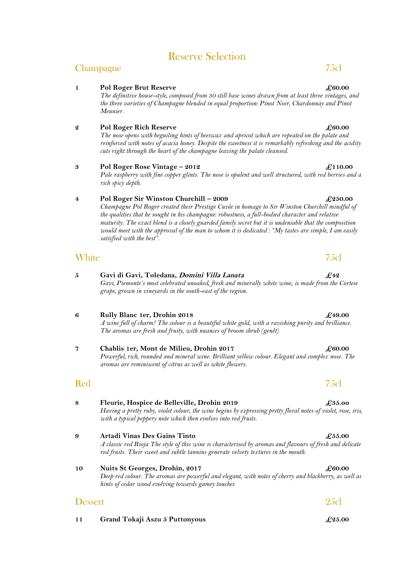# Reserve Selection

## Champagne 75cl

### **1 Pol Roger Brut Reserve** *£60.00*

*The definitive house-style, composed from 30 still base wines drawn from at least three vintages, and the three varieties of Champagne blended in equal proportion: Pinot Noir, Chardonnay and Pinot Meunier.*

### **2 Pol Roger Rich Reserve £60.00**

*The nose opens with beguiling hints of beeswax and apricot which are repeated on the palate and reinforced with notes of acacia honey. Despite the sweetness it is remarkably refreshing and the acidity cuts right through the heart of the champagne leaving the palate cleansed.*

### **3 Pol Roger Rose Vintage – 2012 £110.00**

*Pale raspberry with fine copper glints. The nose is opulent and well structured, with red berries and a rich spicy depth.*

### **4 Pol Roger Sir Winston Churchill – 2009 £250.00**

*Champagne Pol Roger created their Prestige Cuvée in homage to Sir Winston Churchill mindful of the qualities that he sought in his champagne: robustness, a full-bodied character and relative maturity. The exact blend is a closely guarded family secret but it is undeniable that the composition would meet with the approval of the man to whom it is dedicated : "My tastes are simple, I am easily satisfied with the best".*

## White 75cl

- **5 Gavi di Gavi, Toledana, Domini Villa Lanata £42** *Gavi, Piemonte's most celebrated unoaked, fresh and minerally white wine, is made from the Cortese grape, grown in vineyards in the south-east of the region.*
- **6 Rully Blanc 1er, Drohin 2018 £49.00** *A wine full of charm! The colour is a beautiful white gold, with a ravishing purity and brilliance. The aromas are fresh and fruity, with nuances of broom shrub (genêt)*
- **7 Chablis 1er, Mont de Milieu, Drohin 2017** *£60.00 Powerful, rich, rounded and mineral wine. Brilliant yellow colour. Elegant and complex nose. The aromas are reminiscent of citrus as well as white flowers.*

**8 Fleurie, Hospice de Belleville, Drohin 2019 £35.oo**

*Having a pretty ruby, violet colour, the wine begins by expressing pretty floral notes of violet, rose, iris, with a typical peppery note which then evolves into red fruits.*

- **9 Artadi Vinas Des Gains Tinto £55.00** *A classic red Rioja The style of this wine is characterised by aromas and flavours of fresh and delicate red fruits. Their sweet and subtle tannins generate velvety textures in the mouth.*
- **10 Nuits St Georges, Drohin, 2017 £60.00** *Deep red colour. The aromas are powerful and elegant, with notes of cherry and blackberry, as well as hints of cedar wood evolving towards gamey touches*

# Dessert 25cl **11 Grand Tokaji Aszu 5 Puttonyous £25.00**

## Red 75cl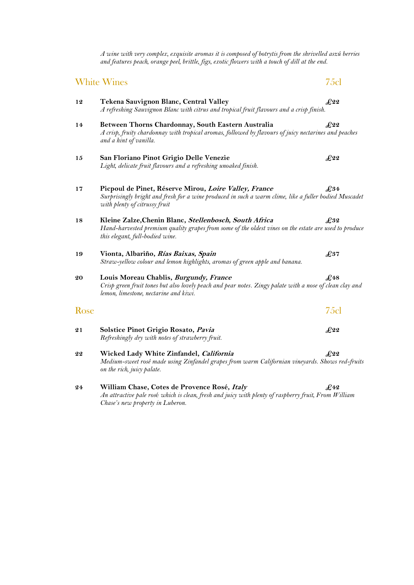*A wine with very complex, exquisite aromas it is composed of botrytis from the shrivelled aszú berries and features peach, orange peel, brittle, figs, exotic flowers with a touch of dill at the end.*

### White Wines 25cl

- **12 Tekena Sauvignon Blanc, Central Valley £22**  *A refreshing Sauvignon Blanc with citrus and tropical fruit flavours and a crisp finish.*
- **14 Between Thorns Chardonnay, South Eastern Australia £22** *A crisp, fruity chardonnay with tropical aromas, followed by flavours of juicy nectarines and peaches and a hint of vanilla.*
- **15 San Floriano Pinot Grigio Delle Venezie £22** *Light, delicate fruit flavours and a refreshing unoaked finish*.

### **17 Picpoul de Pinet, Réserve Mirou, Loire Valley, France £34** *Surprisingly bright and fresh for a wine produced in such a warm clime, like a fuller bodied Muscadet with plenty of citrussy fruit*

- **18 Kleine Zalze,Chenin Blanc, Stellenbosch, South Africa £32** *Hand-harvested premium quality grapes from some of the oldest vines on the estate are used to produce this elegant, full-bodied wine.*
- **19 Vionta, Albariño, Rías Baixas, Spain £37** *Straw-yellow colour and lemon highlights, aromas of green apple and banana.*
- **20 Louis Moreau Chablis, Burgundy, France £48** *Crisp green fruit tones but also lovely peach and pear notes. Zingy palate with a nose of clean clay and lemon, limestone, nectarine and kiwi.*

## Rose 75cl

- **21 Solstice Pinot Grigio Rosato, Pavia £22** *Refreshingly dry with notes of strawberry fruit.*
- **22 Wicked Lady White Zinfandel, California £22** *Medium-sweet rosé made using Zinfandel grapes from warm Californian vineyards. Shows red-fruits on the rich, juicy palate.*
- **24 William Chase, Cotes de Provence Rosé, Italy £42** *An attractive pale ros*é *which is clean, fresh and juicy with plenty of raspberry fruit, From William Chase's new property in Luberon.*